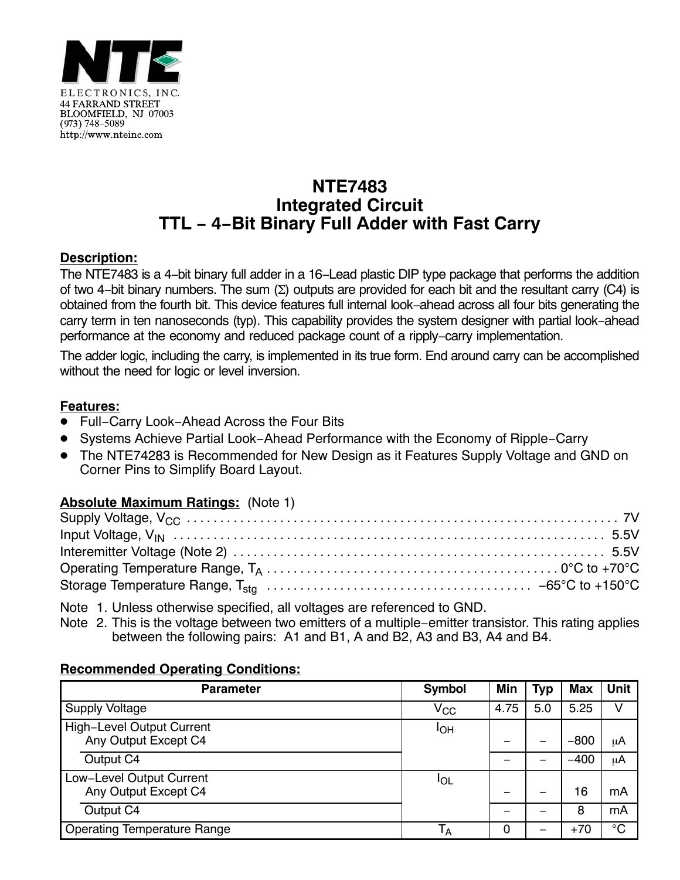

# **NTE7483 Integrated Circuit TTL − 4−Bit Binary Full Adder with Fast Carry**

#### **Description:**

The NTE7483 is a 4−bit binary full adder in a 16−Lead plastic DIP type package that performs the addition of two 4-bit binary numbers. The sum (∑) outputs are provided for each bit and the resultant carry (C4) is obtained from the fourth bit. This device features full internal look−ahead across all four bits generating the carry term in ten nanoseconds (typ). This capability provides the system designer with partial look−ahead performance at the economy and reduced package count of a ripply−carry implementation.

The adder logic, including the carry, is implemented in its true form. End around carry can be accomplished without the need for logic or level inversion.

#### **Features:**

- Full−Carry Look−Ahead Across the Four Bits
- Systems Achieve Partial Look−Ahead Performance with the Economy of Ripple−Carry
- The NTE74283 is Recommended for New Design as it Features Supply Voltage and GND on Corner Pins to Simplify Board Layout.

### **Absolute Maximum Ratings:** (Note 1)

Note 1. Unless otherwise specified, all voltages are referenced to GND.

Note 2. This is the voltage between two emitters of a multiple−emitter transistor. This rating applies between the following pairs: A1 and B1, A and B2, A3 and B3, A4 and B4.

#### **Recommended Operating Conditions:**

| <b>Parameter</b>                                         | <b>Symbol</b> | Min  | <b>Typ</b> | <b>Max</b> | <b>Unit</b> |
|----------------------------------------------------------|---------------|------|------------|------------|-------------|
| <b>Supply Voltage</b>                                    | $\rm V_{CC}$  | 4.75 | 5.0        | 5.25       | V           |
| <b>High-Level Output Current</b><br>Any Output Except C4 | IОH           | -    |            | $-800$     | μA          |
| Output C4                                                |               |      |            | $-400$     | μA          |
| Low-Level Output Current<br>Any Output Except C4         | <b>I</b> OL   | -    |            | 16         | mA          |
| Output C4                                                |               | -    |            | 8          | mA          |
| <b>Operating Temperature Range</b>                       | $T_A$         | 0    |            | $+70$      | $^{\circ}C$ |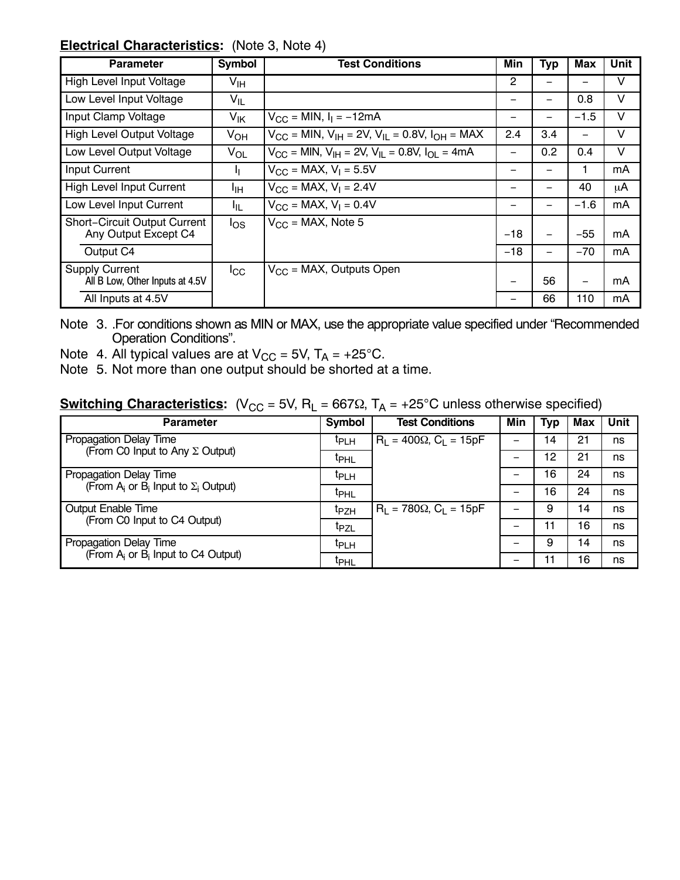#### **Electrical Characteristics:** (Note 3, Note 4)

| <b>Parameter</b>                                            | Symbol                | <b>Test Conditions</b>                                                          | Min   | Typ | Max    | Unit |
|-------------------------------------------------------------|-----------------------|---------------------------------------------------------------------------------|-------|-----|--------|------|
| High Level Input Voltage                                    | V <sub>IH</sub>       |                                                                                 | 2     |     | —      | V    |
| Low Level Input Voltage                                     | $V_{IL}$              |                                                                                 |       |     | 0.8    | v    |
| Input Clamp Voltage                                         | $V_{\mathsf{IK}}$     | $V_{CC}$ = MIN, $I_1$ = -12mA                                                   |       |     | $-1.5$ | v    |
| <b>High Level Output Voltage</b>                            | $V_{OH}$              | $V_{CC}$ = MIN, $V_{IH}$ = 2V, $V_{IL}$ = 0.8V, $I_{OH}$ = MAX                  | 2.4   | 3.4 | -      | V    |
| Low Level Output Voltage                                    | <b>V<sub>OL</sub></b> | $V_{\rm CC}$ = MIN, $V_{\rm IH}$ = 2V, $V_{\rm II}$ = 0.8V, $I_{\rm OII}$ = 4mA |       | 0.2 | 0.4    | V    |
| <b>Input Current</b>                                        | п                     | $V_{CC}$ = MAX, $V_1$ = 5.5V                                                    |       |     | 1      | mA   |
| High Level Input Current                                    | ŀıн                   | $V_{CC}$ = MAX, $V_1$ = 2.4V                                                    |       |     | 40     | μA   |
| Low Level Input Current                                     | ŀμ                    | $V_{CC}$ = MAX, $V_1$ = 0.4V                                                    |       |     | $-1.6$ | mA   |
| <b>Short-Circuit Output Current</b><br>Any Output Except C4 | $\log$                | $V_{CC}$ = MAX, Note 5                                                          | $-18$ |     | $-55$  | mA   |
| Output C4                                                   |                       |                                                                                 | $-18$ | -   | $-70$  | mA   |
| <b>Supply Current</b><br>All B Low, Other Inputs at 4.5V    | $_{\rm{ICC}}$         | $V_{CC}$ = MAX, Outputs Open                                                    |       | 56  |        | mA   |
| All Inputs at 4.5V                                          |                       |                                                                                 |       | 66  | 110    | mA   |

Note 3. .For conditions shown as MIN or MAX, use the appropriate value specified under "Recommended Operation Conditions".

- Note 4. All typical values are at  $V_{CC} = 5V$ ,  $T_A = +25^{\circ}C$ .
- Note 5. Not more than one output should be shorted at a time.

## **Switching Characteristics:** (V<sub>CC</sub> = 5V, R<sub>L</sub> = 667 $\Omega$ , T<sub>A</sub> = +25°C unless otherwise specified)

| <b>Parameter</b>                                            | Symbol           | <b>Test Conditions</b>           | Min | Typ            | Max | Unit |
|-------------------------------------------------------------|------------------|----------------------------------|-----|----------------|-----|------|
| Propagation Delay Time                                      | <sup>t</sup> PLH | $R_1 = 400\Omega$ , $C_1 = 15pF$ |     | $\overline{4}$ | 21  | ns   |
| (From C0 Input to Any $\Sigma$ Output)                      | <sup>t</sup> PHL |                                  |     | 12             | 21  | ns   |
| Propagation Delay Time                                      | <sup>T</sup> PLH |                                  |     | 16             | 24  | ns   |
| (From $A_i$ or $\overline{B}_i$ Input to $\Sigma_i$ Output) | t <sub>PHL</sub> |                                  |     | 16             | 24  | ns   |
| Output Enable Time                                          | t <sub>PZH</sub> | $R_1 = 780\Omega$ , $C_1 = 15pF$ |     | 9              | 14  | ns   |
| (From C0 Input to C4 Output)                                | t <sub>PZL</sub> |                                  | -   | 11             | 16  | ns   |
| Propagation Delay Time                                      | <sup>t</sup> PLH |                                  |     | 9              | 14  | ns   |
| (From $A_i$ or $\overline{B}_i$ Input to C4 Output)         | t <sub>PHL</sub> |                                  |     | 11             | 16  | ns   |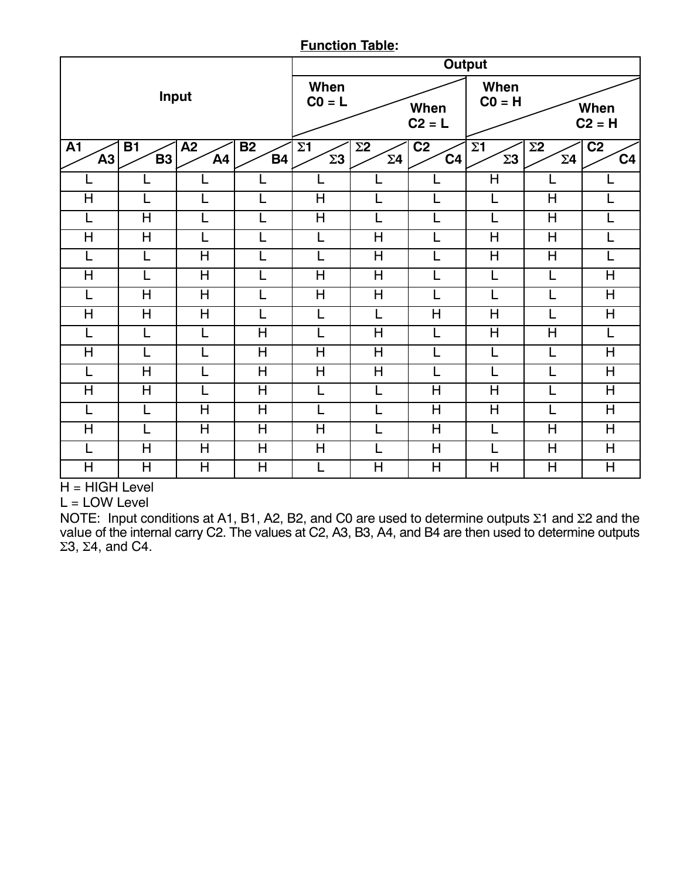#### **Function Table:**

|                         |                         |                         |                                    | <b>Output</b>            |                          |                                   |                                    |                                    |                                    |
|-------------------------|-------------------------|-------------------------|------------------------------------|--------------------------|--------------------------|-----------------------------------|------------------------------------|------------------------------------|------------------------------------|
| Input                   |                         |                         | When<br>$CO = L$                   |                          | When<br>$C2 = L$         | When<br>$CO = H$                  |                                    | When<br>$C2 = H$                   |                                    |
| A1<br>A <sub>3</sub>    | <b>B1</b><br><b>B3</b>  | A2<br>AA                | <b>B2</b><br><b>B4</b>             | $\Sigma$ 1<br>$\Sigma$ 3 | $\Sigma$ 2<br>$\Sigma$ 4 | $\overline{C2}$<br>C <sub>4</sub> | $\Sigma$ 1<br>$\Sigma$ 3           | $\Sigma$ 2<br>$\Sigma$ 4           | C <sub>2</sub><br>C <sub>4</sub>   |
|                         |                         |                         |                                    | L                        |                          | L                                 | $\overline{H}$                     |                                    | L                                  |
| $\overline{\mathsf{H}}$ |                         |                         |                                    | H                        |                          | L                                 |                                    | H                                  | L                                  |
| L                       | H                       | L                       | L                                  | $\overline{\mathsf{H}}$  |                          | L                                 | L                                  | H                                  | Ē                                  |
| $\overline{\mathsf{H}}$ | $\overline{\mathsf{H}}$ | L                       | L                                  | L                        | $\overline{\mathsf{H}}$  | L                                 | $\overline{\mathsf{H}}$            | $\overline{\mathsf{H}}$            | L                                  |
|                         |                         | H                       |                                    | L                        | H                        | L                                 | $\overline{\mathsf{H}}$            | H                                  | L                                  |
| $\overline{\mathsf{H}}$ |                         | $\overline{\mathsf{H}}$ |                                    | $\overline{\mathsf{H}}$  | $\overline{\mathsf{H}}$  | L                                 | L                                  |                                    | $\overline{\mathsf{H}}$            |
| L                       | H                       | H                       | L                                  | H                        | H                        | L                                 | L                                  | L                                  | $\overline{\mathsf{H}}$            |
| H                       | H                       | H                       |                                    | L                        | L                        | $\overline{\mathsf{H}}$           | H                                  |                                    | $\mathsf{H}$                       |
|                         |                         | L                       | $\overline{\overline{\mathsf{H}}}$ | L                        | $\overline{\mathsf{H}}$  | L                                 | $\overline{\overline{\mathsf{H}}}$ | $\overline{\overline{\mathsf{H}}}$ | L                                  |
| H                       |                         | L                       | H                                  | H                        | H                        | L                                 | L                                  | L                                  | H                                  |
| L                       | H                       | L                       | H                                  | H                        | H                        | L                                 | L                                  | L                                  | $\overline{\mathsf{H}}$            |
| $\overline{\mathsf{H}}$ | $\overline{\mathsf{H}}$ |                         | H                                  | L                        |                          | $\overline{\mathsf{H}}$           | $\overline{H}$                     |                                    | $\overline{\mathsf{H}}$            |
| L                       |                         | H                       | $\overline{\overline{\mathsf{H}}}$ | L                        |                          | H                                 | $\overline{\overline{\mathsf{H}}}$ |                                    | $\overline{\overline{\mathsf{H}}}$ |
| H                       | L                       | $\overline{\mathsf{H}}$ | $\overline{\mathsf{H}}$            | $\overline{\mathsf{H}}$  |                          | $\overline{\mathsf{H}}$           | L                                  | H                                  | H                                  |
| L                       | H                       | $\overline{H}$          | H                                  | $\overline{\mathsf{H}}$  |                          | $\overline{\mathsf{H}}$           | L                                  | H                                  | $\overline{\mathsf{H}}$            |
| H                       | H                       | H                       | H                                  | L                        | H                        | H                                 | H                                  | H                                  | H                                  |

H = HIGH Level

 $L =$  LOW Level

NOTE: Input conditions at A1, B1, A2, B2, and C0 are used to determine outputs  $\Sigma$ 1 and  $\Sigma$ 2 and the value of the internal carry C2. The values at C2, A3, B3, A4, and B4 are then used to determine outputs  $\Sigma 3$ ,  $\Sigma 4$ , and C4.